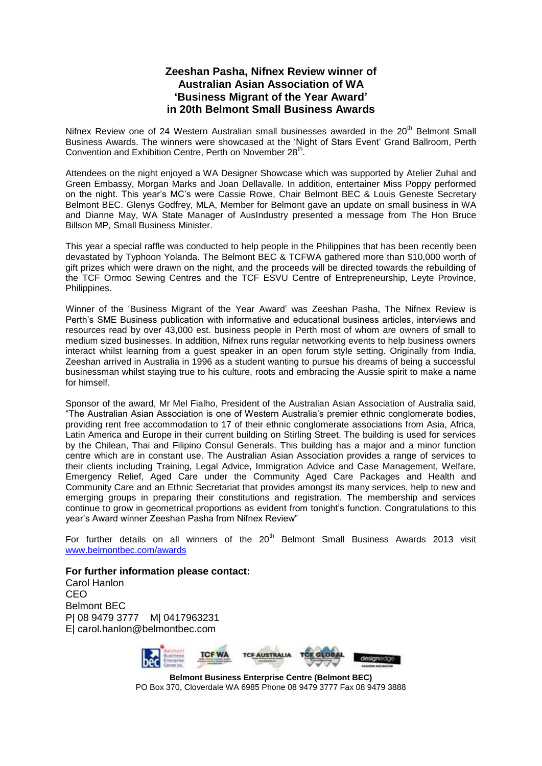## **Zeeshan Pasha, Nifnex Review winner of Australian Asian Association of WA 'Business Migrant of the Year Award' in 20th Belmont Small Business Awards**

Nifnex Review one of 24 Western Australian small businesses awarded in the 20<sup>th</sup> Belmont Small Business Awards. The winners were showcased at the 'Night of Stars Event' Grand Ballroom, Perth Convention and Exhibition Centre, Perth on November 28<sup>th</sup>.

Attendees on the night enjoyed a WA Designer Showcase which was supported by Atelier Zuhal and Green Embassy, Morgan Marks and Joan Dellavalle. In addition, entertainer Miss Poppy performed on the night. This year's MC's were Cassie Rowe, Chair Belmont BEC & Louis Geneste Secretary Belmont BEC. Glenys Godfrey, MLA, Member for Belmont gave an update on small business in WA and Dianne May, WA State Manager of AusIndustry presented a message from The Hon Bruce Billson MP, Small Business Minister.

This year a special raffle was conducted to help people in the Philippines that has been recently been devastated by Typhoon Yolanda. The Belmont BEC & TCFWA gathered more than \$10,000 worth of gift prizes which were drawn on the night, and the proceeds will be directed towards the rebuilding of the TCF Ormoc Sewing Centres and the TCF ESVU Centre of Entrepreneurship, Leyte Province, Philippines.

Winner of the 'Business Migrant of the Year Award' was Zeeshan Pasha, The Nifnex Review is Perth's SME Business publication with informative and educational business articles, interviews and resources read by over 43,000 est. business people in Perth most of whom are owners of small to medium sized businesses. In addition, Nifnex runs regular networking events to help business owners interact whilst learning from a guest speaker in an open forum style setting. Originally from India, Zeeshan arrived in Australia in 1996 as a student wanting to pursue his dreams of being a successful businessman whilst staying true to his culture, roots and embracing the Aussie spirit to make a name for himself.

Sponsor of the award, Mr Mel Fialho, President of the Australian Asian Association of Australia said, "The Australian Asian Association is one of Western Australia's premier ethnic conglomerate bodies, providing rent free accommodation to 17 of their ethnic conglomerate associations from Asia, Africa, Latin America and Europe in their current building on Stirling Street. The building is used for services by the Chilean, Thai and Filipino Consul Generals. This building has a major and a minor function centre which are in constant use. The Australian Asian Association provides a range of services to their clients including Training, Legal Advice, Immigration Advice and Case Management, Welfare, Emergency Relief, Aged Care under the Community Aged Care Packages and Health and Community Care and an Ethnic Secretariat that provides amongst its many services, help to new and emerging groups in preparing their constitutions and registration. The membership and services continue to grow in geometrical proportions as evident from tonight's function. Congratulations to this year's Award winner Zeeshan Pasha from Nifnex Review"

For further details on all winners of the  $20<sup>th</sup>$  Belmont Small Business Awards 2013 visit [www.belmontbec.com/awards](http://www.belmontbec.com/awards)

## **For further information please contact:**

Carol Hanlon CEO Belmont BEC P| 08 9479 3777 M| 0417963231 E| carol.hanlon@belmontbec.com



**Belmont Business Enterprise Centre (Belmont BEC)** PO Box 370, Cloverdale WA 6985 Phone 08 9479 3777 Fax 08 9479 3888